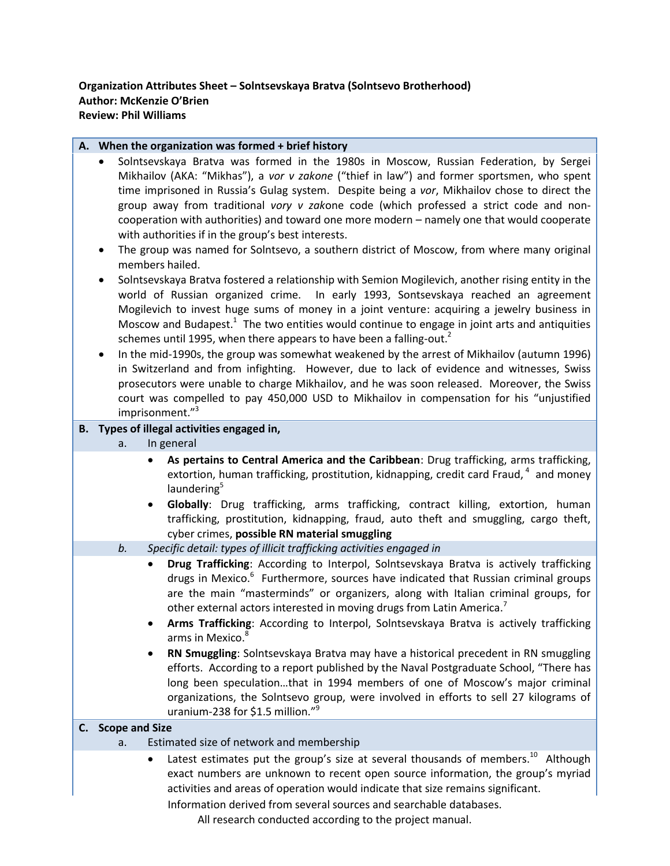| A. When the organization was formed + brief history |  |                             |    |                                                                                                                                                                                                                                                                                                                                                                                                                                                                                                                                                                                                                                                                                                                                                                                                                                                                                                                                                                                                                                                                                                                                                                                                                                                                                                                                                                                                                                                                                                                                                         |  |
|-----------------------------------------------------|--|-----------------------------|----|---------------------------------------------------------------------------------------------------------------------------------------------------------------------------------------------------------------------------------------------------------------------------------------------------------------------------------------------------------------------------------------------------------------------------------------------------------------------------------------------------------------------------------------------------------------------------------------------------------------------------------------------------------------------------------------------------------------------------------------------------------------------------------------------------------------------------------------------------------------------------------------------------------------------------------------------------------------------------------------------------------------------------------------------------------------------------------------------------------------------------------------------------------------------------------------------------------------------------------------------------------------------------------------------------------------------------------------------------------------------------------------------------------------------------------------------------------------------------------------------------------------------------------------------------------|--|
|                                                     |  | $\bullet$<br>$\bullet$<br>٠ |    | Solntsevskaya Bratva was formed in the 1980s in Moscow, Russian Federation, by Sergei<br>Mikhailov (AKA: "Mikhas"), a vor v zakone ("thief in law") and former sportsmen, who spent<br>time imprisoned in Russia's Gulag system. Despite being a vor, Mikhailov chose to direct the<br>group away from traditional vory v zakone code (which professed a strict code and non-<br>cooperation with authorities) and toward one more modern - namely one that would cooperate<br>with authorities if in the group's best interests.<br>The group was named for Solntsevo, a southern district of Moscow, from where many original<br>members hailed.<br>Solntsevskaya Bratva fostered a relationship with Semion Mogilevich, another rising entity in the<br>world of Russian organized crime. In early 1993, Sontsevskaya reached an agreement<br>Mogilevich to invest huge sums of money in a joint venture: acquiring a jewelry business in<br>Moscow and Budapest. $1$ The two entities would continue to engage in joint arts and antiquities<br>schemes until 1995, when there appears to have been a falling-out. <sup>2</sup><br>In the mid-1990s, the group was somewhat weakened by the arrest of Mikhailov (autumn 1996)<br>in Switzerland and from infighting. However, due to lack of evidence and witnesses, Swiss<br>prosecutors were unable to charge Mikhailov, and he was soon released. Moreover, the Swiss<br>court was compelled to pay 450,000 USD to Mikhailov in compensation for his "unjustified<br>imprisonment." <sup>3</sup> |  |
|                                                     |  |                             |    | B. Types of illegal activities engaged in,                                                                                                                                                                                                                                                                                                                                                                                                                                                                                                                                                                                                                                                                                                                                                                                                                                                                                                                                                                                                                                                                                                                                                                                                                                                                                                                                                                                                                                                                                                              |  |
|                                                     |  |                             | a. | In general                                                                                                                                                                                                                                                                                                                                                                                                                                                                                                                                                                                                                                                                                                                                                                                                                                                                                                                                                                                                                                                                                                                                                                                                                                                                                                                                                                                                                                                                                                                                              |  |
|                                                     |  |                             |    | As pertains to Central America and the Caribbean: Drug trafficking, arms trafficking,<br>extortion, human trafficking, prostitution, kidnapping, credit card Fraud, <sup>4</sup> and money<br>laundering <sup>5</sup><br>Globally: Drug trafficking, arms trafficking, contract killing, extortion, human<br>trafficking, prostitution, kidnapping, fraud, auto theft and smuggling, cargo theft,<br>cyber crimes, possible RN material smuggling                                                                                                                                                                                                                                                                                                                                                                                                                                                                                                                                                                                                                                                                                                                                                                                                                                                                                                                                                                                                                                                                                                       |  |
|                                                     |  |                             | b. | Specific detail: types of illicit trafficking activities engaged in                                                                                                                                                                                                                                                                                                                                                                                                                                                                                                                                                                                                                                                                                                                                                                                                                                                                                                                                                                                                                                                                                                                                                                                                                                                                                                                                                                                                                                                                                     |  |
|                                                     |  |                             |    | Drug Trafficking: According to Interpol, Solntsevskaya Bratva is actively trafficking<br>drugs in Mexico. <sup>6</sup> Furthermore, sources have indicated that Russian criminal groups<br>are the main "masterminds" or organizers, along with Italian criminal groups, for<br>other external actors interested in moving drugs from Latin America. <sup>7</sup><br>Arms Trafficking: According to Interpol, Solntsevskaya Bratva is actively trafficking<br>arms in Mexico. <sup>8</sup>                                                                                                                                                                                                                                                                                                                                                                                                                                                                                                                                                                                                                                                                                                                                                                                                                                                                                                                                                                                                                                                              |  |
|                                                     |  |                             |    | RN Smuggling: Solntsevskaya Bratva may have a historical precedent in RN smuggling<br>٠<br>efforts. According to a report published by the Naval Postgraduate School, "There has<br>long been speculationthat in 1994 members of one of Moscow's major criminal<br>organizations, the Solntsevo group, were involved in efforts to sell 27 kilograms of<br>uranium-238 for \$1.5 million." <sup>9</sup>                                                                                                                                                                                                                                                                                                                                                                                                                                                                                                                                                                                                                                                                                                                                                                                                                                                                                                                                                                                                                                                                                                                                                 |  |
|                                                     |  |                             |    | C. Scope and Size                                                                                                                                                                                                                                                                                                                                                                                                                                                                                                                                                                                                                                                                                                                                                                                                                                                                                                                                                                                                                                                                                                                                                                                                                                                                                                                                                                                                                                                                                                                                       |  |
|                                                     |  |                             | a. | Estimated size of network and membership<br>Latest estimates put the group's size at several thousands of members. <sup>10</sup> Although<br>٠<br>exact numbers are unknown to recent open source information, the group's myriad<br>activities and areas of operation would indicate that size remains significant.                                                                                                                                                                                                                                                                                                                                                                                                                                                                                                                                                                                                                                                                                                                                                                                                                                                                                                                                                                                                                                                                                                                                                                                                                                    |  |

Information derived from several sources and searchable databases.

All research conducted according to the project manual.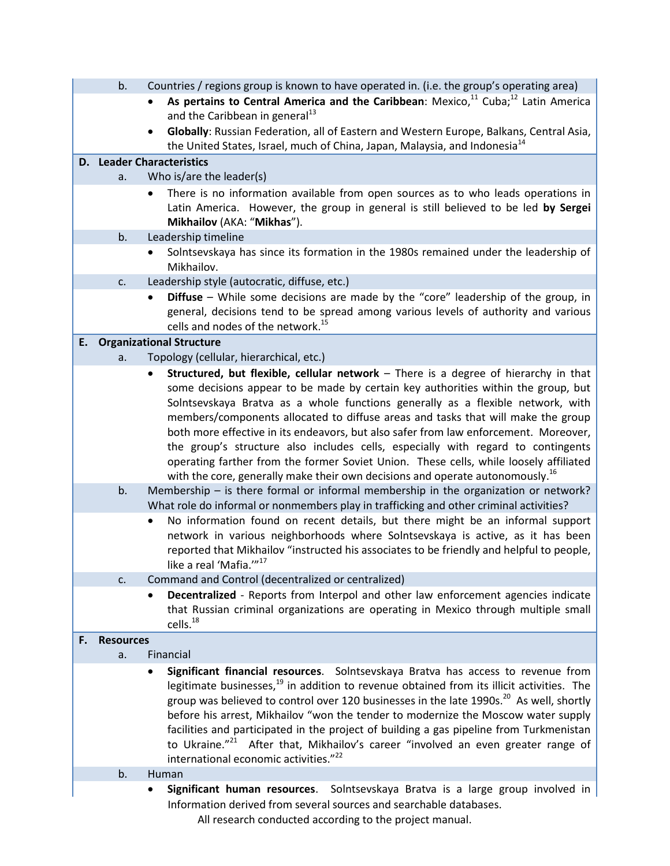|    | b.               | Countries / regions group is known to have operated in. (i.e. the group's operating area)                                                                                     |
|----|------------------|-------------------------------------------------------------------------------------------------------------------------------------------------------------------------------|
|    |                  | As pertains to Central America and the Caribbean: Mexico, <sup>11</sup> Cuba; <sup>12</sup> Latin America                                                                     |
|    |                  | and the Caribbean in general <sup>13</sup>                                                                                                                                    |
|    |                  | Globally: Russian Federation, all of Eastern and Western Europe, Balkans, Central Asia,                                                                                       |
|    |                  | the United States, Israel, much of China, Japan, Malaysia, and Indonesia <sup>14</sup>                                                                                        |
|    |                  | <b>D.</b> Leader Characteristics                                                                                                                                              |
|    | a.               | Who is/are the leader(s)                                                                                                                                                      |
|    |                  | There is no information available from open sources as to who leads operations in<br>Latin America. However, the group in general is still believed to be led by Sergei       |
|    |                  | Mikhailov (AKA: "Mikhas").                                                                                                                                                    |
|    | b.               | Leadership timeline                                                                                                                                                           |
|    |                  | Solntsevskaya has since its formation in the 1980s remained under the leadership of<br>Mikhailov.                                                                             |
|    | c.               | Leadership style (autocratic, diffuse, etc.)                                                                                                                                  |
|    |                  | Diffuse - While some decisions are made by the "core" leadership of the group, in                                                                                             |
|    |                  | general, decisions tend to be spread among various levels of authority and various                                                                                            |
|    |                  | cells and nodes of the network. <sup>15</sup>                                                                                                                                 |
| E. |                  | <b>Organizational Structure</b>                                                                                                                                               |
|    | a.               | Topology (cellular, hierarchical, etc.)<br>Structured, but flexible, cellular network - There is a degree of hierarchy in that                                                |
|    |                  | some decisions appear to be made by certain key authorities within the group, but                                                                                             |
|    |                  | Solntsevskaya Bratva as a whole functions generally as a flexible network, with                                                                                               |
|    |                  | members/components allocated to diffuse areas and tasks that will make the group                                                                                              |
|    |                  | both more effective in its endeavors, but also safer from law enforcement. Moreover,                                                                                          |
|    |                  | the group's structure also includes cells, especially with regard to contingents                                                                                              |
|    |                  | operating farther from the former Soviet Union. These cells, while loosely affiliated                                                                                         |
|    |                  | with the core, generally make their own decisions and operate autonomously. <sup>16</sup>                                                                                     |
|    | b.               | Membership – is there formal or informal membership in the organization or network?<br>What role do informal or nonmembers play in trafficking and other criminal activities? |
|    |                  | No information found on recent details, but there might be an informal support                                                                                                |
|    |                  | network in various neighborhoods where Solntsevskaya is active, as it has been                                                                                                |
|    |                  | reported that Mikhailov "instructed his associates to be friendly and helpful to people,<br>like a real 'Mafia.'" <sup>17</sup>                                               |
|    | c.               | Command and Control (decentralized or centralized)                                                                                                                            |
|    |                  | Decentralized - Reports from Interpol and other law enforcement agencies indicate                                                                                             |
|    |                  | that Russian criminal organizations are operating in Mexico through multiple small                                                                                            |
|    |                  | cells. <sup>18</sup>                                                                                                                                                          |
| F. | <b>Resources</b> |                                                                                                                                                                               |
|    | a.               | Financial                                                                                                                                                                     |
|    |                  | Significant financial resources. Solntsevskaya Bratva has access to revenue from                                                                                              |
|    |                  | legitimate businesses, <sup>19</sup> in addition to revenue obtained from its illicit activities. The                                                                         |
|    |                  | group was believed to control over 120 businesses in the late 1990s. <sup>20</sup> As well, shortly                                                                           |
|    |                  | before his arrest, Mikhailov "won the tender to modernize the Moscow water supply<br>facilities and participated in the project of building a gas pipeline from Turkmenistan  |
|    |                  | to Ukraine." <sup>21</sup> After that, Mikhailov's career "involved an even greater range of                                                                                  |
|    |                  | international economic activities." <sup>22</sup>                                                                                                                             |
|    | b.               | Human                                                                                                                                                                         |
|    |                  | Significant human resources. Solntsevskaya Bratva is a large group involved in                                                                                                |
|    |                  | Information derived from several sources and searchable databases.                                                                                                            |
|    |                  | All research conducted according to the project manual.                                                                                                                       |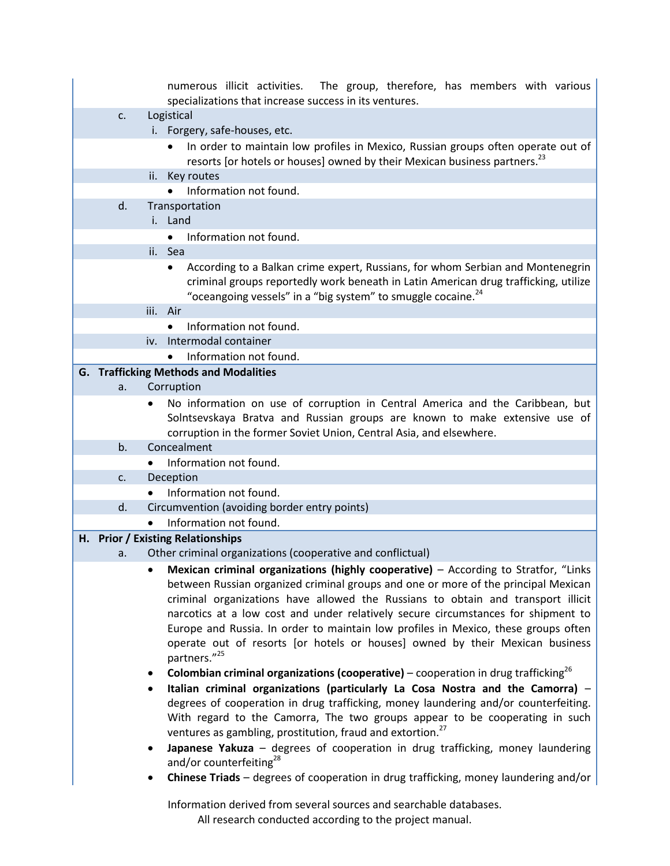|                | numerous illicit activities. The group, therefore, has members with various<br>specializations that increase success in its ventures.                                                                                                                                                                                                                                                                                                                                                                                                    |
|----------------|------------------------------------------------------------------------------------------------------------------------------------------------------------------------------------------------------------------------------------------------------------------------------------------------------------------------------------------------------------------------------------------------------------------------------------------------------------------------------------------------------------------------------------------|
| C <sub>1</sub> | Logistical                                                                                                                                                                                                                                                                                                                                                                                                                                                                                                                               |
|                | i. Forgery, safe-houses, etc.                                                                                                                                                                                                                                                                                                                                                                                                                                                                                                            |
|                | In order to maintain low profiles in Mexico, Russian groups often operate out of<br>$\bullet$<br>resorts [or hotels or houses] owned by their Mexican business partners. <sup>23</sup>                                                                                                                                                                                                                                                                                                                                                   |
|                | ii. Key routes                                                                                                                                                                                                                                                                                                                                                                                                                                                                                                                           |
|                | Information not found.<br>$\bullet$                                                                                                                                                                                                                                                                                                                                                                                                                                                                                                      |
| d.             | Transportation                                                                                                                                                                                                                                                                                                                                                                                                                                                                                                                           |
|                | i. Land                                                                                                                                                                                                                                                                                                                                                                                                                                                                                                                                  |
|                | Information not found.<br>$\bullet$                                                                                                                                                                                                                                                                                                                                                                                                                                                                                                      |
|                | ii. Sea                                                                                                                                                                                                                                                                                                                                                                                                                                                                                                                                  |
|                | According to a Balkan crime expert, Russians, for whom Serbian and Montenegrin<br>$\bullet$                                                                                                                                                                                                                                                                                                                                                                                                                                              |
|                | criminal groups reportedly work beneath in Latin American drug trafficking, utilize<br>"oceangoing vessels" in a "big system" to smuggle cocaine. <sup>24</sup>                                                                                                                                                                                                                                                                                                                                                                          |
|                | Air<br>iii.                                                                                                                                                                                                                                                                                                                                                                                                                                                                                                                              |
|                | Information not found.<br>$\bullet$                                                                                                                                                                                                                                                                                                                                                                                                                                                                                                      |
|                | Intermodal container<br>iv.                                                                                                                                                                                                                                                                                                                                                                                                                                                                                                              |
|                | Information not found.<br>$\bullet$                                                                                                                                                                                                                                                                                                                                                                                                                                                                                                      |
|                | <b>G. Trafficking Methods and Modalities</b>                                                                                                                                                                                                                                                                                                                                                                                                                                                                                             |
| a.             | Corruption                                                                                                                                                                                                                                                                                                                                                                                                                                                                                                                               |
|                | No information on use of corruption in Central America and the Caribbean, but<br>٠                                                                                                                                                                                                                                                                                                                                                                                                                                                       |
|                | Solntsevskaya Bratva and Russian groups are known to make extensive use of                                                                                                                                                                                                                                                                                                                                                                                                                                                               |
|                | corruption in the former Soviet Union, Central Asia, and elsewhere.                                                                                                                                                                                                                                                                                                                                                                                                                                                                      |
| b <sub>1</sub> | Concealment                                                                                                                                                                                                                                                                                                                                                                                                                                                                                                                              |
|                | Information not found.<br>$\bullet$                                                                                                                                                                                                                                                                                                                                                                                                                                                                                                      |
| $C_{\bullet}$  | Deception                                                                                                                                                                                                                                                                                                                                                                                                                                                                                                                                |
|                | Information not found.<br>$\bullet$                                                                                                                                                                                                                                                                                                                                                                                                                                                                                                      |
| d.             | Circumvention (avoiding border entry points)                                                                                                                                                                                                                                                                                                                                                                                                                                                                                             |
|                | Information not found.                                                                                                                                                                                                                                                                                                                                                                                                                                                                                                                   |
|                | H. Prior / Existing Relationships                                                                                                                                                                                                                                                                                                                                                                                                                                                                                                        |
| a.             | Other criminal organizations (cooperative and conflictual)                                                                                                                                                                                                                                                                                                                                                                                                                                                                               |
|                | Mexican criminal organizations (highly cooperative) - According to Stratfor, "Links<br>between Russian organized criminal groups and one or more of the principal Mexican<br>criminal organizations have allowed the Russians to obtain and transport illicit<br>narcotics at a low cost and under relatively secure circumstances for shipment to<br>Europe and Russia. In order to maintain low profiles in Mexico, these groups often<br>operate out of resorts [or hotels or houses] owned by their Mexican business<br>partners."25 |
|                | <b>Colombian criminal organizations (cooperative)</b> – cooperation in drug trafficking <sup>26</sup><br>٠                                                                                                                                                                                                                                                                                                                                                                                                                               |
|                | Italian criminal organizations (particularly La Cosa Nostra and the Camorra) -                                                                                                                                                                                                                                                                                                                                                                                                                                                           |
|                | degrees of cooperation in drug trafficking, money laundering and/or counterfeiting.                                                                                                                                                                                                                                                                                                                                                                                                                                                      |
|                | With regard to the Camorra, The two groups appear to be cooperating in such                                                                                                                                                                                                                                                                                                                                                                                                                                                              |
|                | ventures as gambling, prostitution, fraud and extortion. <sup>27</sup>                                                                                                                                                                                                                                                                                                                                                                                                                                                                   |
|                | Japanese Yakuza - degrees of cooperation in drug trafficking, money laundering<br>and/or counterfeiting <sup>28</sup>                                                                                                                                                                                                                                                                                                                                                                                                                    |
|                | Chinese Triads - degrees of cooperation in drug trafficking, money laundering and/or<br>$\bullet$                                                                                                                                                                                                                                                                                                                                                                                                                                        |
|                | Information derived from several sources and searchable databases.<br>All research conducted according to the project manual.                                                                                                                                                                                                                                                                                                                                                                                                            |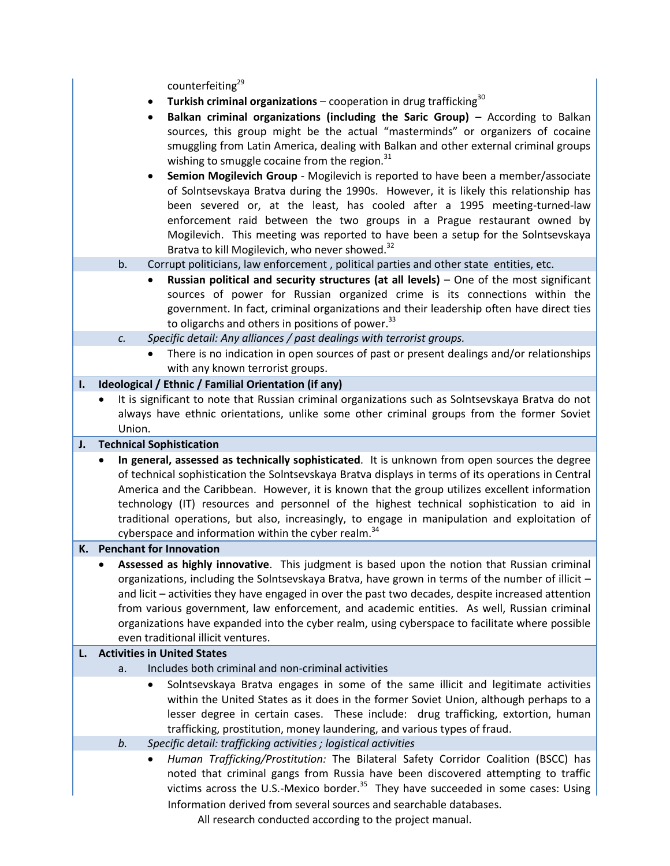counterfeiting<sup>29</sup>

- **Turkish criminal organizations** cooperation in drug trafficking<sup>30</sup>
- **Balkan criminal organizations (including the Saric Group)** According to Balkan sources, this group might be the actual "masterminds" or organizers of cocaine smuggling from Latin America, dealing with Balkan and other external criminal groups wishing to smuggle cocaine from the region. $31$
- **Semion Mogilevich Group**  Mogilevich is reported to have been a member/associate of Solntsevskaya Bratva during the 1990s. However, it is likely this relationship has been severed or, at the least, has cooled after a 1995 meeting-turned-law enforcement raid between the two groups in a Prague restaurant owned by Mogilevich. This meeting was reported to have been a setup for the Solntsevskaya Bratva to kill Mogilevich, who never showed.<sup>32</sup>

# b. Corrupt politicians, law enforcement , political parties and other state entities, etc.

 **Russian political and security structures (at all levels)** – One of the most significant sources of power for Russian organized crime is its connections within the government. In fact, criminal organizations and their leadership often have direct ties to oligarchs and others in positions of power.<sup>33</sup>

*c. Specific detail: Any alliances / past dealings with terrorist groups.*

 There is no indication in open sources of past or present dealings and/or relationships with any known terrorist groups.

## **I. Ideological / Ethnic / Familial Orientation (if any)**

 It is significant to note that Russian criminal organizations such as Solntsevskaya Bratva do not always have ethnic orientations, unlike some other criminal groups from the former Soviet Union.

### **J. Technical Sophistication**

 **In general, assessed as technically sophisticated**. It is unknown from open sources the degree of technical sophistication the Solntsevskaya Bratva displays in terms of its operations in Central America and the Caribbean. However, it is known that the group utilizes excellent information technology (IT) resources and personnel of the highest technical sophistication to aid in traditional operations, but also, increasingly, to engage in manipulation and exploitation of cyberspace and information within the cyber realm. $34$ 

### **K. Penchant for Innovation**

 **Assessed as highly innovative**. This judgment is based upon the notion that Russian criminal organizations, including the Solntsevskaya Bratva, have grown in terms of the number of illicit – and licit – activities they have engaged in over the past two decades, despite increased attention from various government, law enforcement, and academic entities. As well, Russian criminal organizations have expanded into the cyber realm, using cyberspace to facilitate where possible even traditional illicit ventures.

### **L. Activities in United States**

- a. Includes both criminal and non-criminal activities
	- Solntsevskaya Bratva engages in some of the same illicit and legitimate activities within the United States as it does in the former Soviet Union, although perhaps to a lesser degree in certain cases. These include: drug trafficking, extortion, human trafficking, prostitution, money laundering, and various types of fraud.
- *b. Specific detail: trafficking activities ; logistical activities*

Information derived from several sources and searchable databases. *Human Trafficking/Prostitution:* The Bilateral Safety Corridor Coalition (BSCC) has noted that criminal gangs from Russia have been discovered attempting to traffic victims across the U.S.-Mexico border.<sup>35</sup> They have succeeded in some cases: Using

All research conducted according to the project manual.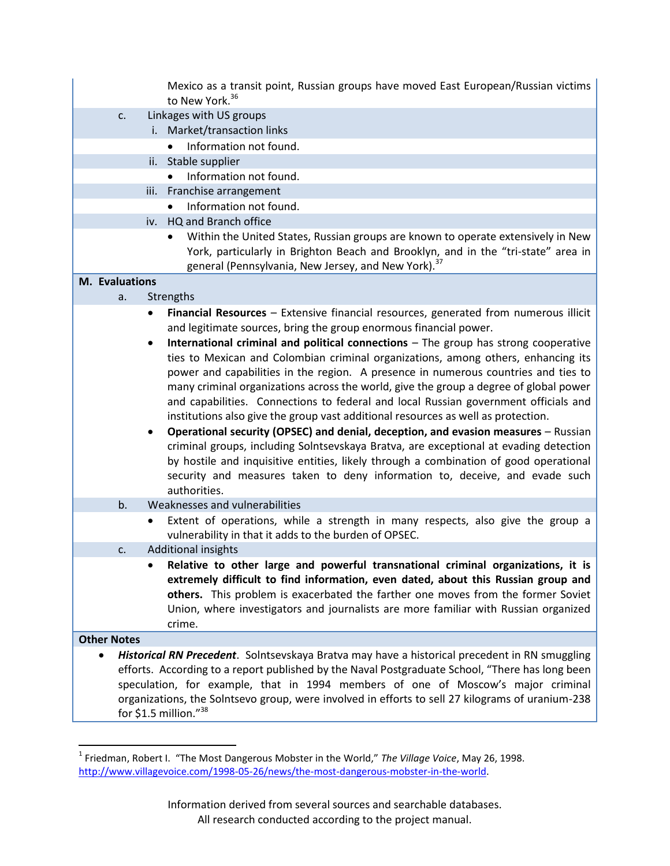|                       | Mexico as a transit point, Russian groups have moved East European/Russian victims<br>to New York. <sup>36</sup> |
|-----------------------|------------------------------------------------------------------------------------------------------------------|
| c.                    | Linkages with US groups                                                                                          |
|                       | i. Market/transaction links                                                                                      |
|                       | Information not found.                                                                                           |
|                       | ii. Stable supplier                                                                                              |
|                       | Information not found.<br>$\bullet$                                                                              |
|                       | iii. Franchise arrangement                                                                                       |
|                       | Information not found.<br>$\bullet$                                                                              |
|                       | iv. HQ and Branch office                                                                                         |
|                       | Within the United States, Russian groups are known to operate extensively in New                                 |
|                       | York, particularly in Brighton Beach and Brooklyn, and in the "tri-state" area in                                |
|                       | general (Pennsylvania, New Jersey, and New York). <sup>37</sup>                                                  |
| <b>M.</b> Evaluations |                                                                                                                  |
| a.                    | Strengths                                                                                                        |
|                       | Financial Resources - Extensive financial resources, generated from numerous illicit<br>$\bullet$                |
|                       | and legitimate sources, bring the group enormous financial power.                                                |
|                       | International criminal and political connections - The group has strong cooperative                              |
|                       | ties to Mexican and Colombian criminal organizations, among others, enhancing its                                |
|                       | power and capabilities in the region. A presence in numerous countries and ties to                               |
|                       | many criminal organizations across the world, give the group a degree of global power                            |
|                       | and capabilities. Connections to federal and local Russian government officials and                              |
|                       | institutions also give the group vast additional resources as well as protection.                                |
|                       | Operational security (OPSEC) and denial, deception, and evasion measures - Russian<br>$\bullet$                  |
|                       | criminal groups, including Solntsevskaya Bratva, are exceptional at evading detection                            |
|                       | by hostile and inquisitive entities, likely through a combination of good operational                            |
|                       | security and measures taken to deny information to, deceive, and evade such<br>authorities.                      |
| b.                    | Weaknesses and vulnerabilities                                                                                   |
|                       | Extent of operations, while a strength in many respects, also give the group a                                   |
|                       | vulnerability in that it adds to the burden of OPSEC.                                                            |
| c.                    | <b>Additional insights</b>                                                                                       |
|                       | Relative to other large and powerful transnational criminal organizations, it is                                 |
|                       | extremely difficult to find information, even dated, about this Russian group and                                |
|                       | others. This problem is exacerbated the farther one moves from the former Soviet                                 |
|                       | Union, where investigators and journalists are more familiar with Russian organized                              |
|                       | crime.                                                                                                           |
| <b>Other Notes</b>    |                                                                                                                  |
|                       | Historical RN Precedent. Solntsevskaya Bratva may have a historical precedent in RN smuggling                    |
|                       | efforts. According to a report published by the Naval Postgraduate School, "There has long been                  |
|                       | speculation, for example, that in 1994 members of one of Moscow's major criminal                                 |
|                       | organizations, the Solntsevo group, were involved in efforts to sell 27 kilograms of uranium-238                 |
|                       | for \$1.5 million."38                                                                                            |

 1 Friedman, Robert I. "The Most Dangerous Mobster in the World," *The Village Voice*, May 26, 1998. [http://www.villagevoice.com/1998-05-26/news/the-most-dangerous-mobster-in-the-world.](http://www.villagevoice.com/1998-05-26/news/the-most-dangerous-mobster-in-the-world)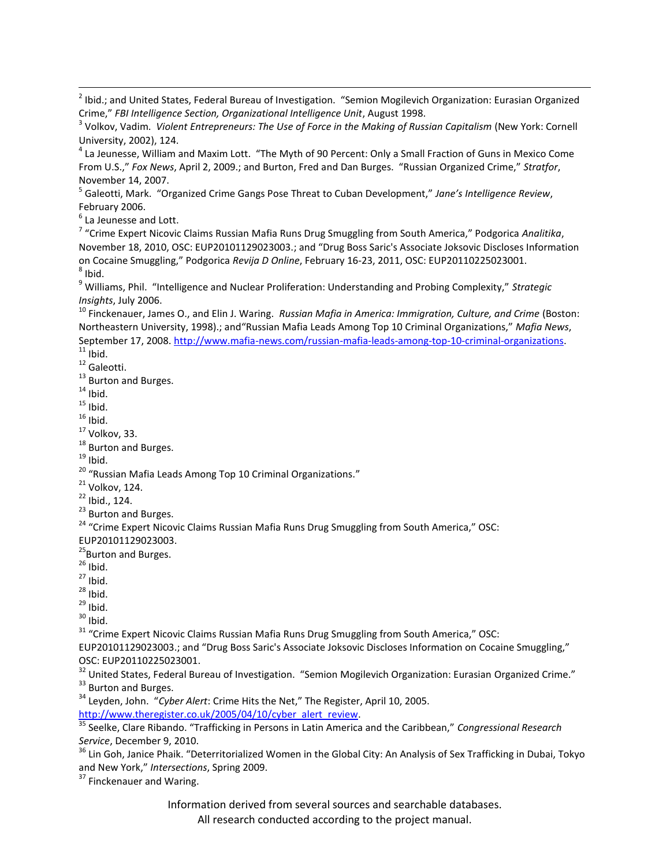5 Galeotti, Mark. "Organized Crime Gangs Pose Threat to Cuban Development," *Jane's Intelligence Review*, February 2006.

 $<sup>6</sup>$  La Jeunesse and Lott.</sup>

7 "Crime Expert Nicovic Claims Russian Mafia Runs Drug Smuggling from South America," Podgorica *Analitika*, November 18, 2010, OSC: EUP20101129023003.; and "Drug Boss Saric's Associate Joksovic Discloses Information on Cocaine Smuggling," Podgorica *Revija D Online*, February 16-23, 2011, OSC: EUP20110225023001.  $^8$  Ibid.

<sup>9</sup> Williams, Phil. "Intelligence and Nuclear Proliferation: Understanding and Probing Complexity," *Strategic Insights*, July 2006.

<sup>10</sup> Finckenauer, James O., and Elin J. Waring. *Russian Mafia in America: Immigration, Culture, and Crime* (Boston: Northeastern University, 1998).; and"Russian Mafia Leads Among Top 10 Criminal Organizations," *Mafia News*, September 17, 2008. http://www.mafia-news.com/russian-mafia-leads-among-top-10-criminal-organizations.  $11$  Ibid.

<sup>12</sup> Galeotti.

<sup>13</sup> Burton and Burges.

 $14$  Ibid.

 $\overline{\phantom{a}}$ 

 $15$  Ibid.

 $16$  Ibid.

 $17$  Volkov, 33.

<sup>18</sup> Burton and Burges.

 $19$  Ibid.

<sup>20</sup> "Russian Mafia Leads Among Top 10 Criminal Organizations."

 $21$  Volkov, 124.

<sup>22</sup> Ibid., 124.

<sup>23</sup> Burton and Burges.

<sup>24</sup> "Crime Expert Nicovic Claims Russian Mafia Runs Drug Smuggling from South America," OSC:

EUP20101129023003.

<sup>25</sup>Burton and Burges.

 $26$  Ibid.

 $27$  Ibid.

 $28$  Ibid.

 $29$  Ibid.

 $30$  Ibid.

 $31$  "Crime Expert Nicovic Claims Russian Mafia Runs Drug Smuggling from South America," OSC:

EUP20101129023003.; and "Drug Boss Saric's Associate Joksovic Discloses Information on Cocaine Smuggling," OSC: EUP20110225023001.

<sup>32</sup> United States, Federal Bureau of Investigation. "Semion Mogilevich Organization: Eurasian Organized Crime." <sup>33</sup> Burton and Burges.

<sup>34</sup> Leyden, John. "*Cyber Alert*: Crime Hits the Net," The Register, April 10, 2005. [http://www.theregister.co.uk/2005/04/10/cyber\\_alert\\_review.](http://www.theregister.co.uk/2005/04/10/cyber_alert_review)

<sup>35</sup> Seelke, Clare Ribando. "Trafficking in Persons in Latin America and the Caribbean," *Congressional Research Service*, December 9, 2010.

<sup>36</sup> Lin Goh, Janice Phaik. "Deterritorialized Women in the Global City: An Analysis of Sex Trafficking in Dubai, Tokyo and New York," *Intersections*, Spring 2009.

<sup>37</sup> Finckenauer and Waring.

Information derived from several sources and searchable databases.

All research conducted according to the project manual.

<sup>&</sup>lt;sup>2</sup> Ibid.; and United States, Federal Bureau of Investigation. "Semion Mogilevich Organization: Eurasian Organized Crime," *FBI Intelligence Section, Organizational Intelligence Unit*, August 1998.

<sup>3</sup> Volkov, Vadim. *Violent Entrepreneurs: The Use of Force in the Making of Russian Capitalism* (New York: Cornell University, 2002), 124.

<sup>&</sup>lt;sup>4</sup> La Jeunesse, William and Maxim Lott. "The Myth of 90 Percent: Only a Small Fraction of Guns in Mexico Come From U.S.," *Fox News*, April 2, 2009.; and Burton, Fred and Dan Burges. "Russian Organized Crime," *Stratfor*, November 14, 2007.